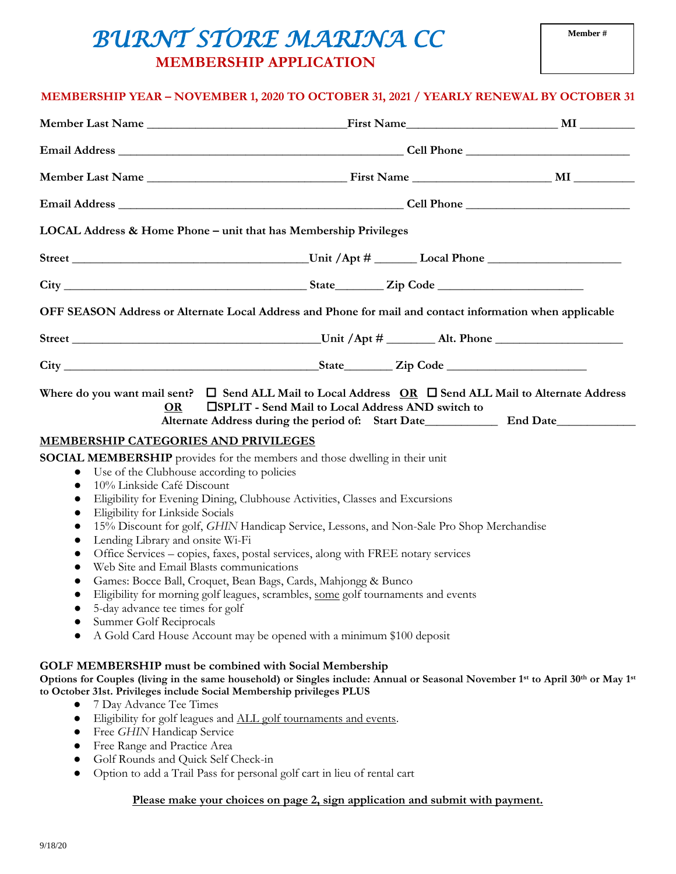## *BURNT STORE MARINA CC*   **MEMBERSHIP APPLICATION**

## **MEMBERSHIP YEAR – NOVEMBER 1, 2020 TO OCTOBER 31, 2021 / YEARLY RENEWAL BY OCTOBER 31**

|                                                                                                                                                                                                                                               | LOCAL Address & Home Phone - unit that has Membership Privileges                                                                                                                                                                                                                                                                                                                                             |  |
|-----------------------------------------------------------------------------------------------------------------------------------------------------------------------------------------------------------------------------------------------|--------------------------------------------------------------------------------------------------------------------------------------------------------------------------------------------------------------------------------------------------------------------------------------------------------------------------------------------------------------------------------------------------------------|--|
|                                                                                                                                                                                                                                               |                                                                                                                                                                                                                                                                                                                                                                                                              |  |
|                                                                                                                                                                                                                                               |                                                                                                                                                                                                                                                                                                                                                                                                              |  |
|                                                                                                                                                                                                                                               | OFF SEASON Address or Alternate Local Address and Phone for mail and contact information when applicable                                                                                                                                                                                                                                                                                                     |  |
|                                                                                                                                                                                                                                               |                                                                                                                                                                                                                                                                                                                                                                                                              |  |
|                                                                                                                                                                                                                                               |                                                                                                                                                                                                                                                                                                                                                                                                              |  |
| MEMBERSHIP CATEGORIES AND PRIVILEGES<br>Use of the Clubhouse according to policies<br>$\bullet$<br>10% Linkside Café Discount<br>$\bullet$<br>$\bullet$                                                                                       | <b>SOCIAL MEMBERSHIP</b> provides for the members and those dwelling in their unit<br>Eligibility for Evening Dining, Clubhouse Activities, Classes and Excursions                                                                                                                                                                                                                                           |  |
| Eligibility for Linkside Socials<br>$\bullet$<br>$\bullet$<br>Lending Library and onsite Wi-Fi<br>٠<br>Web Site and Email Blasts communications<br>$\bullet$<br>5-day advance tee times for golf<br>Summer Golf Reciprocals                   | 15% Discount for golf, GHIN Handicap Service, Lessons, and Non-Sale Pro Shop Merchandise<br>Office Services - copies, faxes, postal services, along with FREE notary services<br>Games: Bocce Ball, Croquet, Bean Bags, Cards, Mahjongg & Bunco<br>Eligibility for morning golf leagues, scrambles, some golf tournaments and events<br>A Gold Card House Account may be opened with a minimum \$100 deposit |  |
| <b>GOLF MEMBERSHIP must be combined with Social Membership</b><br>to October 31st. Privileges include Social Membership privileges PLUS<br>7 Day Advance Tee Times<br>$\bullet$<br>Free GHIN Handicap Service<br>Free Range and Practice Area | Options for Couples (living in the same household) or Singles include: Annual or Seasonal November 1st to April 30th or May 1st<br>Eligibility for golf leagues and ALL golf tournaments and events.                                                                                                                                                                                                         |  |

- Golf Rounds and Quick Self Check-in
- Option to add a Trail Pass for personal golf cart in lieu of rental cart

## **Please make your choices on page 2, sign application and submit with payment.**